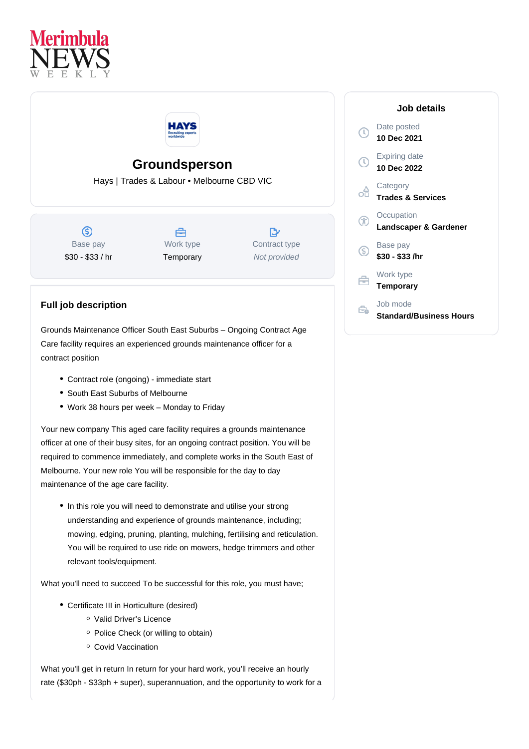



## **Groundsperson**

Hays | Trades & Labour • Melbourne CBD VIC

 $\circledS$ Base pay \$30 - \$33 / hr

A Work type **Temporary** 

 $\mathbb{R}^n$ Contract type Not provided

## **Job details**

Date posted **10 Dec 2021** Expiring date **10 Dec 2022 Category** ക് **Trades & Services Occupation** G **Landscaper & Gardener** Base pay (S) **\$30 - \$33 /hr** Work type **Temporary** Job mode  $\Rightarrow$ **Standard/Business Hours**

## **Full job description**

Grounds Maintenance Officer South East Suburbs – Ongoing Contract Age Care facility requires an experienced grounds maintenance officer for a contract position

- Contract role (ongoing) immediate start
- South East Suburbs of Melbourne
- Work 38 hours per week Monday to Friday

Your new company This aged care facility requires a grounds maintenance officer at one of their busy sites, for an ongoing contract position. You will be required to commence immediately, and complete works in the South East of Melbourne. Your new role You will be responsible for the day to day maintenance of the age care facility.

• In this role you will need to demonstrate and utilise your strong understanding and experience of grounds maintenance, including; mowing, edging, pruning, planting, mulching, fertilising and reticulation. You will be required to use ride on mowers, hedge trimmers and other relevant tools/equipment.

What you'll need to succeed To be successful for this role, you must have;

- Certificate III in Horticulture (desired)
	- Valid Driver's Licence
	- o Police Check (or willing to obtain)
	- <sup>o</sup> Covid Vaccination

What you'll get in return In return for your hard work, you'll receive an hourly rate (\$30ph - \$33ph + super), superannuation, and the opportunity to work for a